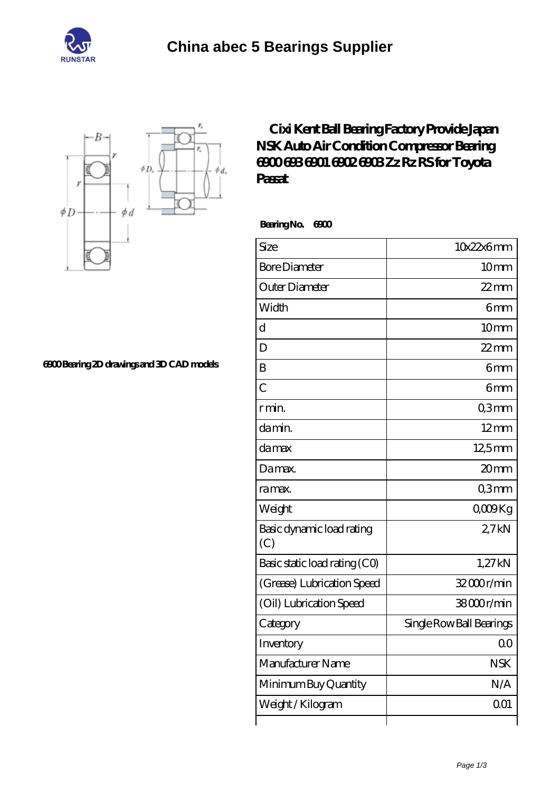



**[6900 Bearing 2D drawings and 3D CAD models](https://njvti.org/pic-65276326.html)**

## **[Cixi Kent Ball Bearing Factory Provide Japan](https://njvti.org/nsk-6902-bearing/nsk-6900.html) [NSK Auto Air Condition Compressor Bearing](https://njvti.org/nsk-6902-bearing/nsk-6900.html) [6900 693 6901 6902 6903 Zz Rz RS for Toyota](https://njvti.org/nsk-6902-bearing/nsk-6900.html) [Passat](https://njvti.org/nsk-6902-bearing/nsk-6900.html)**

 **Bearing No. 6900**

| Size                             | 10x22x6mm                |
|----------------------------------|--------------------------|
| <b>Bore Diameter</b>             | 10mm                     |
| Outer Diameter                   | $22$ mm                  |
| Width                            | 6mm                      |
| d                                | 10mm                     |
| D                                | $22$ mm                  |
| B                                | 6mm                      |
| $\overline{C}$                   | 6mm                      |
| r min.                           | Q3mm                     |
| da min.                          | $12 \text{mm}$           |
| damax                            | 12,5mm                   |
| Damax.                           | 20mm                     |
| ra max.                          | Q3mm                     |
| Weight                           | $0000$ Kg                |
| Basic dynamic load rating<br>(C) | 27kN                     |
| Basic static load rating (CO)    | 1,27kN                   |
| (Grease) Lubrication Speed       | 32000r/min               |
| (Oil) Lubrication Speed          | 38000r/min               |
| Category                         | Single Row Ball Bearings |
| Inventory                        | 0 <sub>0</sub>           |
| Manufacturer Name                | <b>NSK</b>               |
| Minimum Buy Quantity             | N/A                      |
| Weight / Kilogram                | 001                      |
|                                  |                          |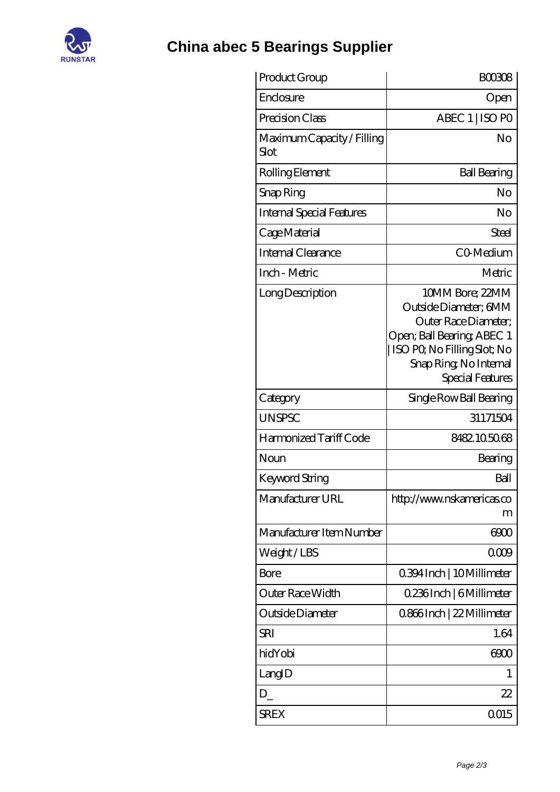

## **[China abec 5 Bearings Supplier](https://njvti.org)**

| Product Group                      | <b>BOO308</b>                                                                                                                                                              |
|------------------------------------|----------------------------------------------------------------------------------------------------------------------------------------------------------------------------|
| Enclosure                          | Open                                                                                                                                                                       |
| Precision Class                    | ABEC 1   ISO PO                                                                                                                                                            |
| Maximum Capacity / Filling<br>Slot | No                                                                                                                                                                         |
| Rolling Element                    | <b>Ball Bearing</b>                                                                                                                                                        |
| Snap Ring                          | No                                                                                                                                                                         |
| Internal Special Features          | No                                                                                                                                                                         |
| Cage Material                      | Steel                                                                                                                                                                      |
| Internal Clearance                 | <b>CO</b> Medium                                                                                                                                                           |
| Inch - Metric                      | Metric                                                                                                                                                                     |
| Long Description                   | 10MM Bore; 22MM<br>Outside Diameter; 6MM<br>Outer Race Diameter;<br>Open; Ball Bearing; ABEC 1<br>ISO PQ No Filling Slot; No<br>Snap Ring, No Internal<br>Special Features |
| Category                           | Single Row Ball Bearing                                                                                                                                                    |
| UNSPSC                             | 31171504                                                                                                                                                                   |
| Harmonized Tariff Code             | 8482105068                                                                                                                                                                 |
| Noun                               | Bearing                                                                                                                                                                    |
| Keyword String                     | Ball                                                                                                                                                                       |
| Manufacturer URL                   | http://www.nskamericas.co<br>m                                                                                                                                             |
| Manufacturer Item Number           | 6900                                                                                                                                                                       |
| Weight / LBS                       | 0009                                                                                                                                                                       |
| Bore                               | 0.394 Inch   10 Millimeter                                                                                                                                                 |
| Outer Race Width                   | 0.236Inch   6Millimeter                                                                                                                                                    |
| Outside Diameter                   | 0.866Inch   22 Millimeter                                                                                                                                                  |
| <b>SRI</b>                         | 1.64                                                                                                                                                                       |
| hidYobi                            | 6900                                                                                                                                                                       |
| LangID                             | 1                                                                                                                                                                          |
| $D_{-}$                            | 22                                                                                                                                                                         |
| <b>SREX</b>                        | 0015                                                                                                                                                                       |